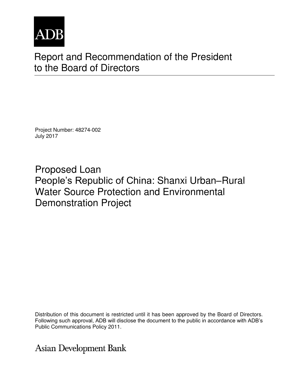

# Report and Recommendation of the President to the Board of Directors

Project Number: 48274-002 July 2017

Proposed Loan People's Republic of China: Shanxi Urban–Rural Water Source Protection and Environmental Demonstration Project

Distribution of this document is restricted until it has been approved by the Board of Directors. Following such approval, ADB will disclose the document to the public in accordance with ADB's Public Communications Policy 2011.

**Asian Development Bank**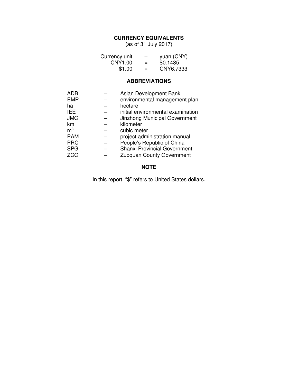#### **CURRENCY EQUIVALENTS**

(as of 31 July 2017)

| Currency unit | $\overline{\phantom{0}}$ | yuan (CNY) |
|---------------|--------------------------|------------|
| CNY1.00       | $=$                      | \$0.1485   |
| \$1.00        | $=$                      | CNY6.7333  |

# **ABBREVIATIONS**

| ADB            | Asian Development Bank               |
|----------------|--------------------------------------|
| <b>EMP</b>     | environmental management plan        |
| ha             | hectare                              |
| <b>IEE</b>     | initial environmental examination    |
| <b>JMG</b>     | <b>Jinzhong Municipal Government</b> |
| km             | kilometer                            |
| m <sup>3</sup> | cubic meter                          |
| <b>PAM</b>     | project administration manual        |
| <b>PRC</b>     | People's Republic of China           |
| <b>SPG</b>     | <b>Shanxi Provincial Government</b>  |
| <b>ZCG</b>     | Zuoquan County Government            |

## **NOTE**

In this report, "\$" refers to United States dollars.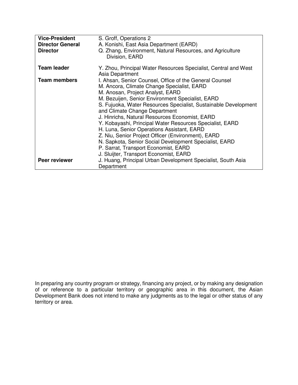| <b>Vice-President</b><br><b>Director General</b> | S. Groff, Operations 2<br>A. Konishi, East Asia Department (EARD)                                                                                        |
|--------------------------------------------------|----------------------------------------------------------------------------------------------------------------------------------------------------------|
| <b>Director</b>                                  | Q. Zhang, Environment, Natural Resources, and Agriculture<br>Division, EARD                                                                              |
| <b>Team leader</b>                               | Y. Zhou, Principal Water Resources Specialist, Central and West<br>Asia Department                                                                       |
| <b>Team members</b>                              | I. Ahsan, Senior Counsel, Office of the General Counsel<br>M. Ancora, Climate Change Specialist, EARD<br>M. Anosan, Project Analyst, EARD                |
|                                                  | M. Bezuijen, Senior Environment Specialist, EARD<br>S. Fujuoka, Water Resources Specialist, Sustainable Development<br>and Climate Change Department     |
|                                                  | J. Hinrichs, Natural Resources Economist, EARD<br>Y. Kobayashi, Principal Water Resources Specialist, EARD<br>H. Luna, Senior Operations Assistant, EARD |
|                                                  | Z. Niu, Senior Project Officer (Environment), EARD<br>N. Sapkota, Senior Social Development Specialist, EARD                                             |
|                                                  | P. Sarrat, Transport Economist, EARD<br>J. Sluijter, Transport Economist, EARD                                                                           |
| Peer reviewer                                    | J. Huang, Principal Urban Development Specialist, South Asia<br>Department                                                                               |

In preparing any country program or strategy, financing any project, or by making any designation of or reference to a particular territory or geographic area in this document, the Asian Development Bank does not intend to make any judgments as to the legal or other status of any territory or area.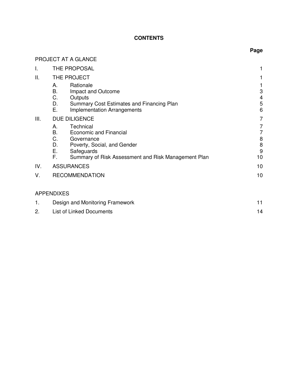# **CONTENTS**

**Page**

|      | <b>PROJECT AT A GLANCE</b>                                                                                                                                                                                               |                                                                 |
|------|--------------------------------------------------------------------------------------------------------------------------------------------------------------------------------------------------------------------------|-----------------------------------------------------------------|
| I.   | THE PROPOSAL                                                                                                                                                                                                             |                                                                 |
| Ш.   | THE PROJECT<br>Rationale<br>А.<br>В.<br>Impact and Outcome<br>C.<br>Outputs<br>D.<br>Summary Cost Estimates and Financing Plan<br>Ε.<br><b>Implementation Arrangements</b>                                               | 3<br>4<br>5<br>6                                                |
| III. | <b>DUE DILIGENCE</b><br>Technical<br>Α.<br>В.<br><b>Economic and Financial</b><br>C.<br>Governance<br>D.<br>Poverty, Social, and Gender<br>Ε.<br>Safeguards<br>F.<br>Summary of Risk Assessment and Risk Management Plan | 7<br>7<br>7<br>$\begin{array}{c} 8 \\ 8 \end{array}$<br>9<br>10 |
| IV.  | <b>ASSURANCES</b>                                                                                                                                                                                                        | 10                                                              |
| V.   | <b>RECOMMENDATION</b>                                                                                                                                                                                                    | 10                                                              |
|      | <b>APPENDIXES</b>                                                                                                                                                                                                        |                                                                 |
| 1.   | Design and Monitoring Framework                                                                                                                                                                                          | 11                                                              |

2. List of Linked Documents 14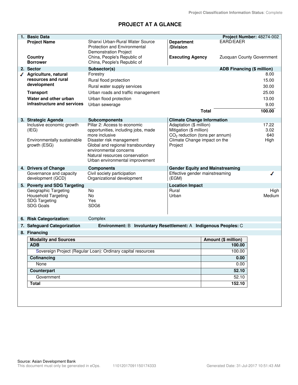# **PROJECT AT A GLANCE**

| 1. Basic Data                                      |                                                                     |                                                    |                                        | Project Number: 48274-002 |
|----------------------------------------------------|---------------------------------------------------------------------|----------------------------------------------------|----------------------------------------|---------------------------|
| <b>Project Name</b>                                | Shanxi Urban-Rural Water Source                                     | <b>Department</b>                                  | EARD/EAER                              |                           |
|                                                    | <b>Protection and Environmental</b>                                 | /Division                                          |                                        |                           |
|                                                    | <b>Demonstration Project</b>                                        |                                                    |                                        | Zuoquan County Government |
| Country<br><b>Borrower</b>                         | China, People's Republic of<br>China, People's Republic of          | <b>Executing Agency</b>                            |                                        |                           |
| 2. Sector                                          | Subsector(s)                                                        |                                                    | <b>ADB Financing (\$ million)</b>      |                           |
| Agriculture, natural                               | Forestry                                                            |                                                    |                                        | 8.00                      |
| resources and rural                                | Rural flood protection                                              |                                                    |                                        | 15.00                     |
| development                                        | Rural water supply services                                         |                                                    |                                        | 30.00                     |
| <b>Transport</b>                                   | Urban roads and traffic management                                  |                                                    |                                        | 25.00                     |
| Water and other urban                              | Urban flood protection                                              |                                                    |                                        | 13.00                     |
| infrastructure and services                        | Urban sewerage                                                      |                                                    |                                        | 9.00                      |
|                                                    |                                                                     |                                                    | <b>Total</b>                           | 100.00                    |
|                                                    |                                                                     |                                                    |                                        |                           |
| 3. Strategic Agenda                                | <b>Subcomponents</b>                                                | <b>Climate Change Information</b>                  |                                        | 17.22                     |
| Inclusive economic growth<br>(IEG)                 | Pillar 2: Access to economic<br>opportunities, including jobs, made | Adaptation (\$ million)<br>Mitigation (\$ million) |                                        | 3.02                      |
|                                                    | more inclusive                                                      | $CO2$ reduction (tons per annum)                   |                                        | 640                       |
| Environmentally sustainable                        | Disaster risk management                                            | Climate Change impact on the                       |                                        | High                      |
| growth (ESG)                                       | Global and regional transboundary                                   | Project                                            |                                        |                           |
|                                                    | environmental concerns                                              |                                                    |                                        |                           |
|                                                    | Natural resources conservation<br>Urban environmental improvement   |                                                    |                                        |                           |
|                                                    |                                                                     |                                                    |                                        |                           |
| 4. Drivers of Change<br>Governance and capacity    | <b>Components</b><br>Civil society participation                    | Effective gender mainstreaming                     | <b>Gender Equity and Mainstreaming</b> |                           |
| development (GCD)                                  | Organizational development                                          | (EGM)                                              |                                        |                           |
| 5. Poverty and SDG Targeting                       |                                                                     | <b>Location Impact</b>                             |                                        |                           |
| Geographic Targeting                               | <b>No</b>                                                           | Rural                                              |                                        | High                      |
| <b>Household Targeting</b><br><b>SDG Targeting</b> | <b>No</b><br>Yes                                                    | Urban                                              |                                        | Medium                    |
| <b>SDG Goals</b>                                   | SDG <sub>6</sub>                                                    |                                                    |                                        |                           |
|                                                    |                                                                     |                                                    |                                        |                           |
| 6. Risk Categorization:                            | Complex                                                             |                                                    |                                        |                           |
| 7. Safeguard Categorization                        | Environment: B Involuntary Resettlement: A Indigenous Peoples: C    |                                                    |                                        |                           |
| 8. Financing                                       |                                                                     |                                                    |                                        |                           |
| <b>Modality and Sources</b>                        |                                                                     |                                                    | Amount (\$ million)                    |                           |
| <b>ADB</b>                                         |                                                                     |                                                    | 100.00                                 |                           |
|                                                    | Sovereign Project (Regular Loan): Ordinary capital resources        |                                                    | 100.00                                 |                           |
| Cofinancing                                        |                                                                     |                                                    | 0.00                                   |                           |
| None                                               |                                                                     |                                                    | 0.00                                   |                           |
| <b>Counterpart</b>                                 |                                                                     |                                                    | 52.10                                  |                           |
| Government                                         |                                                                     |                                                    | 52.10                                  |                           |
| <b>Total</b>                                       |                                                                     |                                                    | 152.10                                 |                           |
|                                                    |                                                                     |                                                    |                                        |                           |
|                                                    |                                                                     |                                                    |                                        |                           |
|                                                    |                                                                     |                                                    |                                        |                           |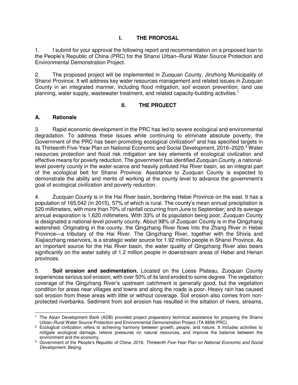## **I. THE PROPOSAL**

1. I submit for your approval the following report and recommendation on a proposed loan to the People's Republic of China (PRC) for the Shanxi Urban–Rural Water Source Protection and Environmental Demonstration Project.

2. The proposed project will be implemented in Zuoquan County, Jinzhong Municipality of Shanxi Province. It will address key water resources management and related issues in Zuoquan County in an integrated manner, including flood mitigation, soil erosion prevention, land use planning, water supply, wastewater treatment, and related capacity-building activities. 1

#### **II. THE PROJECT**

#### **A. Rationale**

3. Rapid economic development in the PRC has led to severe ecological and environmental degradation. To address these issues while continuing to eliminate absolute poverty, the Government of the PRC has been promoting ecological civilization<sup>2</sup> and has specified targets in its Thirteenth Five-Year Plan on National Economic and Social Development, 2016–2020.<sup>3</sup> Water resources protection and flood risk mitigation are key elements of ecological civilization and effective means for poverty reduction. The government has identified Zuoquan County, a nationallevel poverty county in the water-scarce and heavily polluted Hai River basin, as an integral part of the ecological belt for Shanxi Province. Assistance to Zuoquan County is expected to demonstrate the ability and merits of working at the county level to advance the government's goal of ecological civilization and poverty reduction.

4. Zuoquan County is in the Hai River basin, bordering Hebei Province on the east. It has a population of 165,042 (in 2015), 57% of which is rural. The county's mean annual precipitation is 520 millimeters, with more than 70% of rainfall occurring from June to September; and its average annual evaporation is 1,620 millimeters. With 33% of its population being poor, Zuoquan County is designated a national-level poverty county. About 98% of Zuoquan County is in the Qingzhang watershed. Originating in the county, the Qingzhang River flows into the Zhang River in Hebei Province—a tributary of the Hai River. The Qingzhang River, together with the Shixia and Xiajiaozhang reservoirs, is a strategic water source for 1.92 million people in Shanxi Province. As an important source for the Hai River basin, the water quality of Qingzhang River also bears significantly on the water safety of 1.2 million people in downstream areas of Hebei and Henan provinces.

5. **Soil erosion and sedimentation.** Located on the Loess Plateau, Zuoquan County experiences serious soil erosion, with over 50% of its land eroded to some degree. The vegetation coverage of the Qingzhang River's upstream catchment is generally good, but the vegetation condition for areas near villages and towns and along the roads is poor. Heavy rain has caused soil erosion from these areas with little or without coverage. Soil erosion also comes from nonprotected riverbanks. Sediment from soil erosion has resulted in the siltation of rivers, streams,

 $\overline{a}$ 1 The Asian Development Bank (ADB) provided project preparatory technical assistance for preparing the Shanxi Urban–Rural Water Source Protection and Environmental Demonstration Project (TA 8856-PRC).

<sup>&</sup>lt;sup>2</sup> Ecological civilization refers to achieving harmony between growth, people, and nature. It includes activities to mitigate ecological damage, relieve pressures on natural resources, and improve the balance between the environment and the economy.

<sup>3</sup> Government of the People's Republic of China. 2016. *Thirteenth Five-Year Plan on National Economic and Social Development.* Beijing.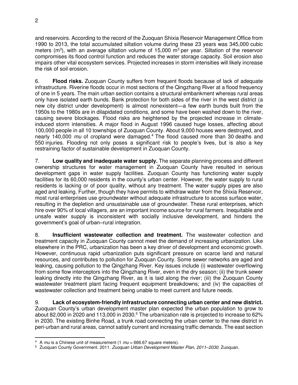and reservoirs. According to the record of the Zuoquan Shixia Reservoir Management Office from 1990 to 2013, the total accumulated siltation volume during these 23 years was 345,000 cubic meters (m<sup>3</sup>), with an average siltation volume of 15,000 m<sup>3</sup> per year. Siltation of the reservoir compromises its flood control function and reduces the water storage capacity. Soil erosion also impairs other vital ecosystem services. Projected increases in storm intensities will likely increase the risk of soil erosion.

6. **Flood risks.** Zuoquan County suffers from frequent floods because of lack of adequate infrastructure. Riverine floods occur in most sections of the Qingzhang River at a flood frequency of one in 5 years. The main urban section contains a structural embankment whereas rural areas only have isolated earth bunds. Bank protection for both sides of the river in the west district (a new city district under development) is almost nonexistent—a few earth bunds built from the 1950s to the 1980s are in dilapidated conditions, and some have been washed down to the river, causing severe blockages. Flood risks are heightened by the projected increase in climateinduced storm intensities. A major flood in August 1996 caused huge losses, affecting about 100,000 people in all 10 townships of Zuoquan County. About 9,000 houses were destroyed, and nearly 140,000 mu of cropland were damaged.<sup>4</sup> The flood caused more than 30 deaths and 550 injuries. Flooding not only poses a significant risk to people's lives, but is also a key restraining factor of sustainable development in Zuoquan County.

7. **Low quality and inadequate water supply.** The separate planning process and different ownership structures for water management in Zuoquan County have resulted in serious development gaps in water supply facilities. Zuoquan County has functioning water supply facilities for its 60,000 residents in the county's urban center. However, the water supply to rural residents is lacking or of poor quality, without any treatment. The water supply pipes are also aged and leaking. Further, though they have permits to withdraw water from the Shixia Reservoir, most rural enterprises use groundwater without adequate infrastructure to access surface water, resulting in the depletion and unsustainable use of groundwater. These rural enterprises, which hire over 90% of local villagers, are an important income source for rural farmers. Inequitable and unsafe water supply is inconsistent with socially inclusive development, and hinders the government's goal of urban–rural integration.

8. **Insufficient wastewater collection and treatment.** The wastewater collection and treatment capacity in Zuoquan County cannot meet the demand of increasing urbanization. Like elsewhere in the PRC, urbanization has been a key driver of development and economic growth. However, continuous rapid urbanization puts significant pressure on scarce land and natural resources, and contributes to pollution for Zuoquan County. Some sewer networks are aged and leaking, causing pollution to the Qingzhang River. Key issues include (i) wastewater overflowing from some flow interceptors into the Qingzhang River, even in the dry season; (ii) the trunk sewer leaking directly into the Qingzhang River, as it is laid along the river; (iii) the Zuoquan County wastewater treatment plant facing frequent equipment breakdowns; and (iv) the capacities of wastewater collection and treatment being unable to meet current and future needs.

9. **Lack of ecosystem-friendly infrastructure connecting urban center and new district.** Zuoquan County's urban development master plan expected the urban population to grow to about 82,000 in 2020 and 113,000 in 2030.<sup>5</sup> The urbanization rate is projected to increase to 62% in 2030. The existing Binhe Road, a trunk road connecting the urban center to the new district in peri-urban and rural areas, cannot satisfy current and increasing traffic demands. The east section

 <sup>4</sup> A *mu* is a Chinese unit of measurement (1 *mu* = 666.67 square meters).

<sup>5</sup> Zuoquan County Government. 2011. *Zuoquan Urban Development Master Plan, 2011–2030*. Zuoquan.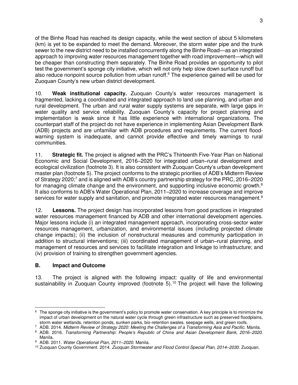of the Binhe Road has reached its design capacity, while the west section of about 5 kilometers (km) is yet to be expanded to meet the demand. Moreover, the storm water pipe and the trunk sewer to the new district need to be installed concurrently along the Binhe Road—as an integrated approach to improving water resources management together with road improvement—which will be cheaper than constructing them separately. The Binhe Road provides an opportunity to pilot test the government's sponge city initiative, which will not only help slow down surface runoff but also reduce nonpoint source pollution from urban runoff.<sup>6</sup> The experience gained will be used for Zuoquan County's new urban district development.

10. **Weak institutional capacity.** Zuoquan County's water resources management is fragmented, lacking a coordinated and integrated approach to land use planning, and urban and rural development. The urban and rural water supply systems are separate, with large gaps in water quality and service reliability. Zuoquan County's capacity for project planning and implementation is weak since it has little experience with international organizations. The counterpart staff of the project do not have experience in implementing Asian Development Bank (ADB) projects and are unfamiliar with ADB procedures and requirements. The current floodwarning system is inadequate, and cannot provide effective and timely warnings to rural communities.

11. **Strategic fit.** The project is aligned with the PRC's Thirteenth Five-Year Plan on National Economic and Social Development, 2016–2020 for integrated urban–rural development and ecological civilization (footnote 3). It is also consistent with Zuoquan County's urban development master plan (footnote 5). The project conforms to the strategic priorities of ADB's Midterm Review of Strategy 2020;<sup>7</sup> and is aligned with ADB's country partnership strategy for the PRC, 2016–2020 for managing climate change and the environment, and supporting inclusive economic growth. $8$ It also conforms to ADB's Water Operational Plan, 2011–2020 to increase coverage and improve services for water supply and sanitation, and promote integrated water resources management.<sup>9</sup>

12. **Lessons.** The project design has incorporated lessons from good practices in integrated water resources management financed by ADB and other international development agencies. Major lessons include (i) an integrated management approach, incorporating cross-sector water resources management, urbanization, and environmental issues (including projected climate change impacts); (ii) the inclusion of nonstructural measures and community participation in addition to structural interventions; (iii) coordinated management of urban–rural planning, and management of resources and services to facilitate integration and linkage to infrastructure; and (iv) provision of training to strengthen government agencies.

### **B. Impact and Outcome**

13. The project is aligned with the following impact: quality of life and environmental sustainability in Zuoquan County improved (footnote 5).<sup>10</sup> The project will have the following

 $\overline{a}$  $6$  The sponge city initiative is the government's policy to promote water conservation. A key principle is to minimize the impact of urban development on the natural water cycle through green infrastructure such as preserved floodplains, storm water wetlands, retention ponds, sunken parks, bio-retention swales, seepage wells, and green roofs.

<sup>7</sup> ADB. 2014. *Midterm Review of Strategy 2020: Meeting the Challenges of a Transforming Asia and Pacific.* Manila.

<sup>8</sup> ADB. 2016. *Transforming Partnership: People's Republic of China and Asian Development Bank, 2016–2020*. Manila.

<sup>9</sup> ADB. 2011. *Water Operational Plan, 2011–2020.* Manila.

<sup>10</sup> Zuoquan County Government. 2014. *Zuoquan Stormwater and Flood Control Special Plan, 2014–2030*. Zuoquan.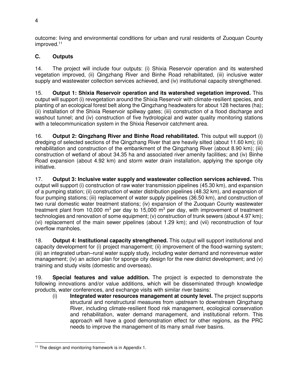outcome: living and environmental conditions for urban and rural residents of Zuoquan County improved.<sup>11</sup>

# **C. Outputs**

14. The project will include four outputs: (i) Shixia Reservoir operation and its watershed vegetation improved, (ii) Qingzhang River and Binhe Road rehabilitated, (iii) inclusive water supply and wastewater collection services achieved, and (iv) institutional capacity strengthened.

15. **Output 1: Shixia Reservoir operation and its watershed vegetation improved.** This output will support (i) revegetation around the Shixia Reservoir with climate-resilient species, and planting of an ecological forest belt along the Qingzhang headwaters for about 128 hectares (ha); (ii) installation of the Shixia Reservoir spillway gates; (iii) construction of a flood discharge and washout tunnel; and (iv) construction of five hydrological and water quality monitoring stations with a telecommunication system in the Shixia Reservoir catchment area.

16. **Output 2: Qingzhang River and Binhe Road rehabilitated.** This output will support (i) dredging of selected sections of the Qingzhang River that are heavily silted (about 11.60 km); (ii) rehabilitation and construction of the embankment of the Qingzhang River (about 8.90 km); (iii) construction of wetland of about 34.35 ha and associated river amenity facilities; and (iv) Binhe Road expansion (about 4.92 km) and storm water drain installation, applying the sponge city initiative.

17. **Output 3: Inclusive water supply and wastewater collection services achieved.** This output will support (i) construction of raw water transmission pipelines (45.30 km), and expansion of a pumping station; (ii) construction of water distribution pipelines (48.32 km), and expansion of four pumping stations; (iii) replacement of water supply pipelines (36.50 km), and construction of two rural domestic water treatment stations; (iv) expansion of the Zuoquan County wastewater treatment plant from 10,000 m<sup>3</sup> per day to 15,000 m<sup>3</sup> per day, with improvement of treatment technologies and renovation of some equipment; (v) construction of trunk sewers (about 4.97 km); (vi) replacement of the main sewer pipelines (about 1.29 km); and (vii) reconstruction of four overflow manholes.

18. **Output 4: Institutional capacity strengthened.** This output will support institutional and capacity development for (i) project management; (ii) improvement of the flood-warning system; (iii) an integrated urban–rural water supply study, including water demand and nonrevenue water management; (iv) an action plan for sponge city design for the new district development; and (v) training and study visits (domestic and overseas).

19. **Special features and value addition.** The project is expected to demonstrate the following innovations and/or value additions, which will be disseminated through knowledge products, water conferences, and exchange visits with similar river basins:

(i) **Integrated water resources management at county level.** The project supports structural and nonstructural measures from upstream to downstream Qingzhang River, including climate-resilient flood risk management, ecological conservation and rehabilitation, water demand management, and institutional reform. This approach will have a good demonstration effect for other regions, as the PRC needs to improve the management of its many small river basins.

 $\overline{a}$ <sup>11</sup> The design and monitoring framework is in Appendix 1.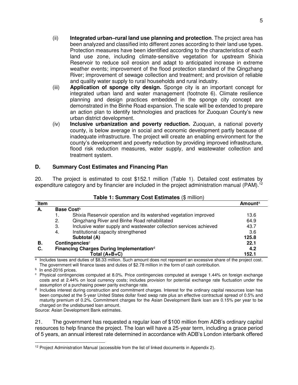- (ii) **Integrated urban–rural land use planning and protection**. The project area has been analyzed and classified into different zones according to their land use types. Protection measures have been identified according to the characteristics of each land use zone, including climate-sensitive vegetation for upstream Shixia Reservoir to reduce soil erosion and adapt to anticipated increase in extreme weather events; improvement of the flood protection standard of the Qingzhang River; improvement of sewage collection and treatment; and provision of reliable and quality water supply to rural households and rural industry.
- (iii) **Application of sponge city design.** Sponge city is an important concept for integrated urban land and water management (footnote 6). Climate resilience planning and design practices embedded in the sponge city concept are demonstrated in the Binhe Road expansion. The scale will be extended to prepare an action plan to identify technologies and practices for Zuoquan County's new urban district development.
- (iv) **Inclusive urbanization and poverty reduction.** Zuoquan, a national poverty county, is below average in social and economic development partly because of inadequate infrastructure. The project will create an enabling environment for the county's development and poverty reduction by providing improved infrastructure, flood risk reduction measures, water supply, and wastewater collection and treatment system.

#### **D. Summary Cost Estimates and Financing Plan**

20. The project is estimated to cost \$152.1 million (Table 1). Detailed cost estimates by expenditure category and by financier are included in the project administration manual (PAM).<sup>12</sup>

| Item |    |                                                                    | Amounta |
|------|----|--------------------------------------------------------------------|---------|
| А.   |    | Base Costb                                                         |         |
|      |    | Shixia Reservoir operation and its watershed vegetation improved   | 13.6    |
|      | 2. | Qingzhang River and Binhe Road rehabilitated                       | 64.9    |
|      | 3. | Inclusive water supply and wastewater collection services achieved | 43.7    |
|      | 4. | Institutional capacity strengthened                                | 3.6     |
|      |    | Subtotal (A)                                                       | 125.8   |
| В.   |    | Contingenciesc                                                     | 22.1    |
| С.   |    | Financing Charges During Implementation <sup>d</sup>               | 4.2     |
|      |    | Total $(A+B+C)$                                                    | 152.1   |

#### **Table 1: Summary Cost Estimates** (\$ million)

 $\frac{a}{b}$  Includes taxes and duties of \$8.33 million. Such amount does not represent an excessive share of the project cost. The government will finance taxes and duties of \$2.78 million in the form of cash contribution.

<sup>b</sup> In end-2016 prices.

<sup>c</sup> Physical contingencies computed at 8.0%. Price contingencies computed at average 1.44% on foreign exchange costs and at 2.44% on local currency costs; includes provision for potential exchange rate fluctuation under the assumption of a purchasing power parity exchange rate.

<sup>d</sup> Includes interest during construction and commitment charges. Interest for the ordinary capital resources loan has been computed at the 5-year United States dollar fixed swap rate plus an effective contractual spread of 0.5% and maturity premium of 0.2%. Commitment charges for the Asian Development Bank loan are 0.15% per year to be charged on the undisbursed loan amount.

Source: Asian Development Bank estimates.

21. The government has requested a regular loan of \$100 million from ADB's ordinary capital resources to help finance the project. The loan will have a 25-year term, including a grace period of 5 years, an annual interest rate determined in accordance with ADB's London interbank offered

 $\overline{a}$  $12$  Project Administration Manual (accessible from the list of linked documents in Appendix 2).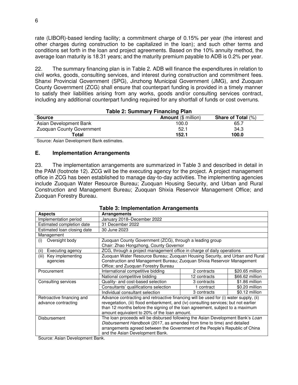rate (LIBOR)-based lending facility; a commitment charge of 0.15% per year (the interest and other charges during construction to be capitalized in the loan); and such other terms and conditions set forth in the loan and project agreements. Based on the 10% annuity method, the average loan maturity is 18.31 years; and the maturity premium payable to ADB is 0.2% per year.

22. The summary financing plan is in Table 2. ADB will finance the expenditures in relation to civil works, goods, consulting services, and interest during construction and commitment fees. Shanxi Provincial Government (SPG), Jinzhong Municipal Government (JMG), and Zuoquan County Government (ZCG) shall ensure that counterpart funding is provided in a timely manner to satisfy their liabilities arising from any works, goods and/or consulting services contract, including any additional counterpart funding required for any shortfall of funds or cost overruns.

| <b>Table 2: Summary Financing Plan</b> |                            |                           |
|----------------------------------------|----------------------------|---------------------------|
| <b>Source</b>                          | <b>Amount</b> (\$ million) | <b>Share of Total (%)</b> |
| Asian Development Bank                 | 100.0                      | 65.7                      |
| <b>Zuoquan County Government</b>       | 52.1                       | 34.3                      |
| Total                                  | 152.1                      | 100.0                     |

Source: Asian Development Bank estimates.

#### **E. Implementation Arrangements**

23. The implementation arrangements are summarized in Table 3 and described in detail in the PAM (footnote 12). ZCG will be the executing agency for the project. A project management office in ZCG has been established to manage day-to-day activities. The implementing agencies include Zuoquan Water Resource Bureau; Zuoquan Housing Security, and Urban and Rural Construction and Management Bureau; Zuoquan Shixia Reservoir Management Office; and Zuoquan Forestry Bureau.

|                             | rable 3. miplementation Afrangements                                                  |              |                 |
|-----------------------------|---------------------------------------------------------------------------------------|--------------|-----------------|
| <b>Aspects</b>              | <b>Arrangements</b>                                                                   |              |                 |
| Implementation period       | January 2018-December 2022                                                            |              |                 |
| Estimated completion date   | 31 December 2022                                                                      |              |                 |
| Estimated loan closing date | 30 June 2023                                                                          |              |                 |
| Management                  |                                                                                       |              |                 |
| Oversight body<br>(i)       | Zuoquan County Government (ZCG), through a leading group                              |              |                 |
|                             | Chair: Zhao Hongzhong, County Governor                                                |              |                 |
| Executing agency<br>(ii)    | ZCG, through a project management office in charge of daily operations                |              |                 |
| Key implementing<br>(iii)   | Zuoquan Water Resource Bureau; Zuoquan Housing Security, and Urban and Rural          |              |                 |
| agencies                    | Construction and Management Bureau; Zuoquan Shixia Reservoir Management               |              |                 |
|                             | Office; and Zuoquan Forestry Bureau                                                   |              |                 |
| Procurement                 | International competitive bidding                                                     | 2 contracts  | \$20.65 million |
|                             | National competitive bidding                                                          | 12 contracts | \$66.62 million |
| Consulting services         | Quality- and cost-based selection                                                     | 3 contracts  | \$1.86 million  |
|                             | Consultants' qualifications selection                                                 | 1 contract   | \$0.20 million  |
|                             | Individual consultant selection                                                       | 3 contracts  | \$0.12 million  |
| Retroactive financing and   | Advance contracting and retroactive financing will be used for (i) water supply, (ii) |              |                 |
| advance contracting         | revegetation, (iii) flood embankment, and (iv) consulting services; but not earlier   |              |                 |
|                             | than 12 months before the signing of the loan agreement, subject to a maximum         |              |                 |
|                             | amount equivalent to 20% of the loan amount.                                          |              |                 |
| Disbursement                | The loan proceeds will be disbursed following the Asian Development Bank's Loan       |              |                 |
|                             | Disbursement Handbook (2017, as amended from time to time) and detailed               |              |                 |
|                             | arrangements agreed between the Government of the People's Republic of China          |              |                 |
|                             | and the Asian Development Bank.                                                       |              |                 |

**Table 3: Implementation Arrangements**

Source: Asian Development Bank.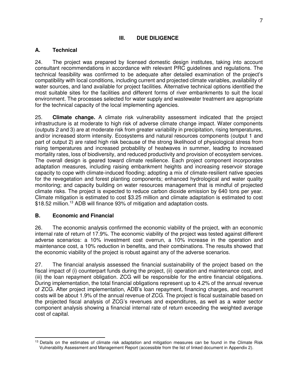#### **III. DUE DILIGENCE**

#### **A. Technical**

24. The project was prepared by licensed domestic design institutes, taking into account consultant recommendations in accordance with relevant PRC guidelines and regulations. The technical feasibility was confirmed to be adequate after detailed examination of the project's compatibility with local conditions, including current and projected climate variables, availability of water sources, and land available for project facilities. Alternative technical options identified the most suitable sites for the facilities and different forms of river embankments to suit the local environment. The processes selected for water supply and wastewater treatment are appropriate for the technical capacity of the local implementing agencies.

25. **Climate change.** A climate risk vulnerability assessment indicated that the project infrastructure is at moderate to high risk of adverse climate change impact. Water components (outputs 2 and 3) are at moderate risk from greater variability in precipitation, rising temperatures, and/or increased storm intensity. Ecosystems and natural resources components (output 1 and part of output 2) are rated high risk because of the strong likelihood of physiological stress from rising temperatures and increased probability of heatwaves in summer, leading to increased mortality rates, loss of biodiversity, and reduced productivity and provision of ecosystem services. The overall design is geared toward climate resilience. Each project component incorporates adaptation measures, including raising embankment heights and increasing reservoir storage capacity to cope with climate-induced flooding; adopting a mix of climate-resilient native species for the revegetation and forest planting components; enhanced hydrological and water quality monitoring; and capacity building on water resources management that is mindful of projected climate risks. The project is expected to reduce carbon dioxide emission by 640 tons per year. Climate mitigation is estimated to cost \$3.25 million and climate adaptation is estimated to cost \$18.52 million.<sup>13</sup> ADB will finance 93% of mitigation and adaptation costs.

### **B. Economic and Financial**

26. The economic analysis confirmed the economic viability of the project, with an economic internal rate of return of 17.9%. The economic viability of the project was tested against different adverse scenarios: a 10% investment cost overrun, a 10% increase in the operation and maintenance cost, a 10% reduction in benefits, and their combinations. The results showed that the economic viability of the project is robust against any of the adverse scenarios.

27. The financial analysis assessed the financial sustainability of the project based on the fiscal impact of (i) counterpart funds during the project, (ii) operation and maintenance cost, and (iii) the loan repayment obligation. ZCG will be responsible for the entire financial obligations. During implementation, the total financial obligations represent up to 4.2% of the annual revenue of ZCG. After project implementation, ADB's loan repayment, financing charges, and recurrent costs will be about 1.9% of the annual revenue of ZCG. The project is fiscal sustainable based on the projected fiscal analysis of ZCG's revenues and expenditures, as well as a water sector component analysis showing a financial internal rate of return exceeding the weighted average cost of capital.

 <sup>13</sup> Details on the estimates of climate risk adaptation and mitigation measures can be found in the Climate Risk Vulnerability Assessment and Management Report (accessible from the list of linked document in Appendix 2).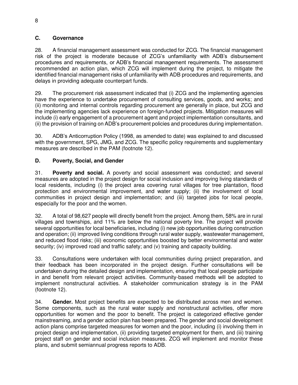#### **C. Governance**

28. A financial management assessment was conducted for ZCG. The financial management risk of the project is moderate because of ZCG's unfamiliarity with ADB's disbursement procedures and requirements, or ADB's financial management requirements. The assessment recommended an action plan, which ZCG will implement during the project, to mitigate the identified financial management risks of unfamiliarity with ADB procedures and requirements, and delays in providing adequate counterpart funds.

29. The procurement risk assessment indicated that (i) ZCG and the implementing agencies have the experience to undertake procurement of consulting services, goods, and works; and (ii) monitoring and internal controls regarding procurement are generally in place, but ZCG and the implementing agencies lack experience on foreign-funded projects. Mitigation measures will include (i) early engagement of a procurement agent and project implementation consultants, and (ii) the provision of training on ADB's procurement policies and procedures during implementation.

30. ADB's Anticorruption Policy (1998, as amended to date) was explained to and discussed with the government, SPG, JMG, and ZCG. The specific policy requirements and supplementary measures are described in the PAM (footnote 12).

#### **D. Poverty, Social, and Gender**

31. **Poverty and social.** A poverty and social assessment was conducted; and several measures are adopted in the project design for social inclusion and improving living standards of local residents, including (i) the project area covering rural villages for tree plantation, flood protection and environmental improvement, and water supply; (ii) the involvement of local communities in project design and implementation; and (iii) targeted jobs for local people, especially for the poor and the women.

32. A total of 98,627 people will directly benefit from the project. Among them, 58% are in rural villages and townships, and 11% are below the national poverty line. The project will provide several opportunities for local beneficiaries, including (i) new job opportunities during construction and operation; (ii) improved living conditions through rural water supply, wastewater management, and reduced flood risks; (iii) economic opportunities boosted by better environmental and water security; (iv) improved road and traffic safety; and (v) training and capacity building.

33. Consultations were undertaken with local communities during project preparation, and their feedback has been incorporated in the project design. Further consultations will be undertaken during the detailed design and implementation, ensuring that local people participate in and benefit from relevant project activities. Community-based methods will be adopted to implement nonstructural activities. A stakeholder communication strategy is in the PAM (footnote 12).

34. **Gender.** Most project benefits are expected to be distributed across men and women. Some components, such as the rural water supply and nonstructural activities, offer more opportunities for women and the poor to benefit. The project is categorized effective gender mainstreaming, and a gender action plan has been prepared. The gender and social development action plans comprise targeted measures for women and the poor, including (i) involving them in project design and implementation, (ii) providing targeted employment for them, and (iii) training project staff on gender and social inclusion measures. ZCG will implement and monitor these plans, and submit semiannual progress reports to ADB.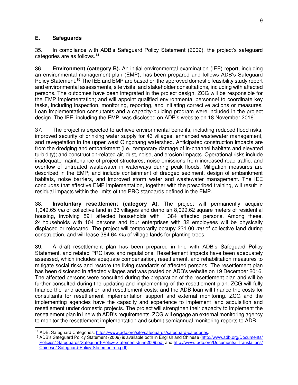#### **E. Safeguards**

35. In compliance with ADB's Safeguard Policy Statement (2009), the project's safeguard categories are as follows.<sup>14</sup>

36. **Environment (category B).** An initial environmental examination (IEE) report, including an environmental management plan (EMP), has been prepared and follows ADB's Safeguard Policy Statement.<sup>15</sup> The IEE and EMP are based on the approved domestic feasibility study report and environmental assessments, site visits, and stakeholder consultations, including with affected persons. The outcomes have been integrated in the project design. ZCG will be responsible for the EMP implementation; and will appoint qualified environmental personnel to coordinate key tasks, including inspection, monitoring, reporting, and initiating corrective actions or measures. Loan implementation consultants and a capacity-building program were included in the project design. The IEE, including the EMP, was disclosed on ADB's website on 18 November 2016.

37. The project is expected to achieve environmental benefits, including reduced flood risks, improved security of drinking water supply for 43 villages, enhanced wastewater management, and revegetation in the upper west Qingzhang watershed. Anticipated construction impacts are from the dredging and embankment (i.e., temporary damage of in-channel habitats and elevated turbidity); and construction-related air, dust, noise, and erosion impacts. Operational risks include inadequate maintenance of project structures, noise emissions from increased road traffic, and overflow of untreated wastewater in waterways during peak floods. Mitigation measures are described in the EMP; and include containment of dredged sediment, design of embankment habitats, noise barriers, and improved storm water and wastewater management. The IEE concludes that effective EMP implementation, together with the prescribed training, will result in residual impacts within the limits of the PRC standards defined in the EMP.

38. **Involuntary resettlement (category A).** The project will permanently acquire 1,049.65 *mu* of collective land in 33 villages and demolish 8,099.62 square meters of residential housing, involving 591 affected households with 1,384 affected persons. Among these, 24 households with 104 persons and four enterprises with 32 employees will be physically displaced or relocated. The project will temporarily occupy 231.00 *mu* of collective land during construction, and will lease 384.64 *mu* of village lands for planting trees.

39. A draft resettlement plan has been prepared in line with ADB's Safeguard Policy Statement, and related PRC laws and regulations. Resettlement impacts have been adequately assessed, which includes adequate compensation, resettlement, and rehabilitation measures to mitigate social risks and restore the living standards of affected persons. The resettlement plan has been disclosed in affected villages and was posted on ADB's website on 19 December 2016. The affected persons were consulted during the preparation of the resettlement plan and will be further consulted during the updating and implementing of the resettlement plan. ZCG will fully finance the land acquisition and resettlement costs; and the ADB loan will finance the costs for consultants for resettlement implementation support and external monitoring. ZCG and the implementing agencies have the capacity and experience to implement land acquisition and resettlement under domestic projects. The project will strengthen their capacity to implement the resettlement plan in line with ADB's requirements. ZCG will engage an external monitoring agency to monitor the resettlement implementation and submit semiannual monitoring reports to ADB.

 <sup>14</sup> ADB. Safeguard Categories. [https://www.adb.org/site/safeguards/safeguard-categories.](https://www.adb.org/site/safeguards/safeguard-categories)

<sup>&</sup>lt;sup>15</sup> ADB's Safequard Policy Statement (2009) is available both in English and Chinese (http://www.adb.org/Documents/ [Policies/ Safeguards/Safeguard-Policy-Statement-June2009.pdf](http://www.adb.org/Documents/%20Policies/Safeguards/Safeguard-Policy-Statement-June2009.pdf) and http://www. adb.org/Documents/ Translations/ Chinese/ Safeguard-Policy-Statement-cn.pdf).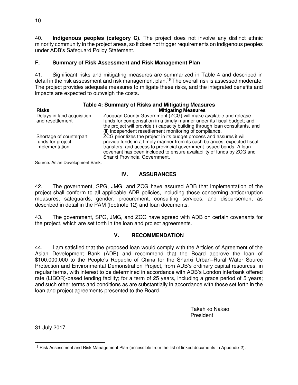40. **Indigenous peoples (category C).** The project does not involve any distinct ethnic minority community in the project areas, so it does not trigger requirements on indigenous peoples under ADB's Safeguard Policy Statement.

## **F. Summary of Risk Assessment and Risk Management Plan**

41. Significant risks and mitigating measures are summarized in Table 4 and described in detail in the risk assessment and risk management plan.<sup>16</sup> The overall risk is assessed moderate. The project provides adequate measures to mitigate these risks, and the integrated benefits and impacts are expected to outweigh the costs.

| <b>10010 Tributhary of Hond and minguing modeured</b>          |                                                                                                                                                                                                                                                                                                                                    |  |
|----------------------------------------------------------------|------------------------------------------------------------------------------------------------------------------------------------------------------------------------------------------------------------------------------------------------------------------------------------------------------------------------------------|--|
| <b>Risks</b>                                                   | <b>Mitigating Measures</b>                                                                                                                                                                                                                                                                                                         |  |
| Delays in land acquisition<br>and resettlement                 | Zuoquan County Government (ZCG) will make available and release<br>funds for compensation in a timely manner under its fiscal budget; and<br>the project will provide (i) capacity building through loan consultants, and<br>(ii) independent resettlement monitoring of compliance.                                               |  |
| Shortage of counterpart<br>funds for project<br>implementation | ZCG prioritizes the project in its budget process and assures it will<br>provide funds in a timely manner from its cash balances, expected fiscal<br>transfers, and access to provincial government-issued bonds. A loan<br>covenant has been included to ensure availability of funds by ZCG and<br>Shanxi Provincial Government. |  |

#### **Table 4: Summary of Risks and Mitigating Measures**

Source: Asian Development Bank.

## **IV. ASSURANCES**

42. The government, SPG, JMG, and ZCG have assured ADB that implementation of the project shall conform to all applicable ADB policies, including those concerning anticorruption measures, safeguards, gender, procurement, consulting services, and disbursement as described in detail in the PAM (footnote 12) and loan documents.

43. The government, SPG, JMG, and ZCG have agreed with ADB on certain covenants for the project, which are set forth in the loan and project agreements.

### **V. RECOMMENDATION**

44. I am satisfied that the proposed loan would comply with the Articles of Agreement of the Asian Development Bank (ADB) and recommend that the Board approve the loan of \$100,000,000 to the People's Republic of China for the Shanxi Urban–Rural Water Source Protection and Environmental Demonstration Project, from ADB's ordinary capital resources, in regular terms, with interest to be determined in accordance with ADB's London interbank offered rate (LIBOR)-based lending facility; for a term of 25 years, including a grace period of 5 years; and such other terms and conditions as are substantially in accordance with those set forth in the loan and project agreements presented to the Board.

> Takehiko Nakao President

31 July 2017

 $\overline{a}$ <sup>16</sup> Risk Assessment and Risk Management Plan (accessible from the list of linked documents in Appendix 2).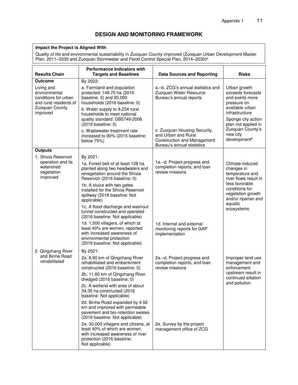### **DESIGN AND MONITORING FRAMEWORK**

#### **Impact the Project is Aligned With**

Quality of life and environmental sustainability in Zuoquan County improved (Zuoquan Urban Development Master Plan, 2011–2030 and Zuoquan Stormwater and Flood Control Special Plan, 2014–2030)<sup>a</sup>

| <b>Results Chain</b>                                                                                        | <b>Performance Indicators with</b><br><b>Targets and Baselines</b>                                                                                                                                                                           | <b>Data Sources and Reporting</b>                                                                                       | <b>Risks</b>                                                                                                                                          |
|-------------------------------------------------------------------------------------------------------------|----------------------------------------------------------------------------------------------------------------------------------------------------------------------------------------------------------------------------------------------|-------------------------------------------------------------------------------------------------------------------------|-------------------------------------------------------------------------------------------------------------------------------------------------------|
| Outcome                                                                                                     | By 2022:                                                                                                                                                                                                                                     |                                                                                                                         |                                                                                                                                                       |
| Living and<br>environmental<br>conditions for urban<br>and rural residents of<br>Zuoquan County<br>improved | a. Farmland and population<br>protected: 148.75 ha (2016<br>baseline: 0) and 20,000<br>households (2016 baseline: 0)<br>b. Water supply to 9,234 rural<br>households to meet national<br>quality standard: GB5749-2006<br>(2016 baseline: 0) | a.-b. ZCG's annual statistics and<br>Zuoquan Water Resource<br>Bureau's annual reports                                  | Urban growth<br>exceeds forecasts<br>and exerts more<br>pressure on<br>available urban<br>infrastructure<br>Sponge city action<br>plan not applied in |
|                                                                                                             | c. Wastewater treatment rate<br>increased to 90% (2015 baseline:<br>below 75%)                                                                                                                                                               | c. Zuoquan Housing Security,<br>and Urban and Rural<br><b>Construction and Management</b><br>Bureau's annual statistics | Zuoquan County's<br>new city<br>development <sup>b</sup>                                                                                              |
| <b>Outputs</b>                                                                                              |                                                                                                                                                                                                                                              |                                                                                                                         |                                                                                                                                                       |
| 1. Shixia Reservoir                                                                                         | By 2021:                                                                                                                                                                                                                                     |                                                                                                                         |                                                                                                                                                       |
| operation and its<br>watershed<br>vegetation<br>improved                                                    | 1a. Forest belt of at least 128 ha<br>planted along two headwaters and<br>revegetation around the Shixia<br>Reservoir (2016 baseline: 0)                                                                                                     | 1a.-d. Project progress and<br>completion reports, and loan<br>review missions                                          | Climate-induced<br>changes in<br>temperature and<br>river flows result in                                                                             |
|                                                                                                             | 1b. A sluice with two gates<br>installed for the Shixia Reservoir<br>spillway (2016 baseline: Not<br>applicable)                                                                                                                             |                                                                                                                         | less favorable<br>conditions for<br>vegetation growth<br>and/or riparian and<br>aquatic                                                               |
|                                                                                                             | 1c. A flood discharge and washout<br>tunnel constructed and operated<br>(2016 baseline: Not applicable)                                                                                                                                      |                                                                                                                         | ecosystems                                                                                                                                            |
|                                                                                                             | 1d. 1,500 villagers, of which at<br>least 40% are women, reported<br>with increased awareness of<br>environmental protection<br>(2016 baseline: Not applicable)                                                                              | 1d. Internal and external<br>monitoring reports for GAP<br>implementation                                               |                                                                                                                                                       |
| 2. Qingzhang River                                                                                          | By 2021:                                                                                                                                                                                                                                     |                                                                                                                         |                                                                                                                                                       |
| and Binhe Road<br>rehabilitated                                                                             | 2a. 8.90 km of Qingzhang River<br>rehabilitated and embankment<br>constructed (2016 baseline: 0)<br>2b. 11.60 km of Qingzhang River                                                                                                          | 2a.-d. Project progress and<br>completion reports, and loan<br>review missions                                          | Improper land use<br>management and<br>enforcement<br>upstream result in<br>continued siltation                                                       |
|                                                                                                             | dredged (2016 baseline: 0)<br>2c. A wetland with area of about<br>34.35 ha constructed (2016)<br>baseline: Not applicable)                                                                                                                   |                                                                                                                         | and pollution                                                                                                                                         |
|                                                                                                             | 2d. Binhe Road expanded by 4.92<br>km and improved with permeable<br>pavement and bio-retention swales<br>(2016 baseline: Not applicable)                                                                                                    |                                                                                                                         |                                                                                                                                                       |
|                                                                                                             | 2e. 30,000 villagers and citizens, at<br>least 40% of which are women,<br>with increased awareness of river<br>protection (2016 baseline:<br>Not applicable)                                                                                 | 2e. Survey by the project<br>management office of ZCG                                                                   |                                                                                                                                                       |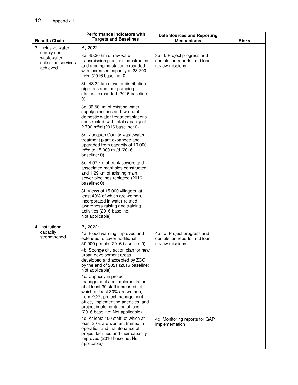| <b>Results Chain</b>                                        | <b>Performance Indicators with</b><br><b>Targets and Baselines</b>                                                                                                                                                                                                         | <b>Data Sources and Reporting</b><br><b>Mechanisms</b>                         | <b>Risks</b> |
|-------------------------------------------------------------|----------------------------------------------------------------------------------------------------------------------------------------------------------------------------------------------------------------------------------------------------------------------------|--------------------------------------------------------------------------------|--------------|
| 3. Inclusive water                                          | By 2022:                                                                                                                                                                                                                                                                   |                                                                                |              |
| supply and<br>wastewater<br>collection services<br>achieved | 3a. 45.30 km of raw water<br>transmission pipelines constructed<br>and a pumping station expanded,<br>with increased capacity of 28,700<br>$m^3/d$ (2016 baseline: 0)                                                                                                      | 3a.–f. Project progress and<br>completion reports, and loan<br>review missions |              |
|                                                             | 3b. 48.32 km of water distribution<br>pipelines and four pumping<br>stations expanded (2016 baseline:<br>$\left( 0\right)$                                                                                                                                                 |                                                                                |              |
|                                                             | 3c. 36.50 km of existing water<br>supply pipelines and two rural<br>domestic water treatment stations<br>constructed, with total capacity of<br>2,700 m <sup>3</sup> /d (2016 baseline: 0)                                                                                 |                                                                                |              |
|                                                             | 3d. Zuoquan County wastewater<br>treatment plant expanded and<br>upgraded from capacity of 10,000<br>$m^3/d$ to 15,000 m $^3/d$ (2016<br>baseline: 0)                                                                                                                      |                                                                                |              |
|                                                             | 3e, 4.97 km of trunk sewers and<br>associated manholes constructed,<br>and 1.29 km of existing main<br>sewer pipelines replaced (2016<br>baseline: 0)                                                                                                                      |                                                                                |              |
|                                                             | 3f. Views of 15,000 villagers, at<br>least 40% of which are women,<br>incorporated in water-related<br>awareness-raising and training<br>activities (2016 baseline:<br>Not applicable)                                                                                     |                                                                                |              |
| 4. Institutional                                            | By 2022:                                                                                                                                                                                                                                                                   |                                                                                |              |
| capacity<br>strengthened                                    | 4a. Flood warning improved and<br>extended to cover additional<br>50,000 people (2016 baseline: 0)                                                                                                                                                                         | 4a.–d. Project progress and<br>completion reports, and loan<br>review missions |              |
|                                                             | 4b. Sponge city action plan for new<br>urban development areas<br>developed and accepted by ZCG<br>by the end of 2021 (2016 baseline:<br>Not applicable)                                                                                                                   |                                                                                |              |
|                                                             | 4c. Capacity in project<br>management and implementation<br>of at least 30 staff increased, of<br>which at least 30% are women,<br>from ZCG, project management<br>office, implementing agencies, and<br>project implementation offices<br>(2016 baseline: Not applicable) |                                                                                |              |
|                                                             | 4d. At least 100 staff, of which at<br>least 30% are women, trained in<br>operation and maintenance of<br>project facilities and their capacity<br>improved (2016 baseline: Not<br>applicable)                                                                             | 4d. Monitoring reports for GAP<br>implementation                               |              |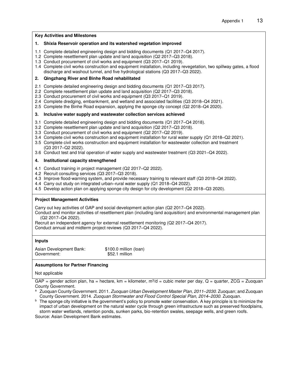|               | <b>Key Activities and Milestones</b>                                                                                                                                                                                                                                                                                                                                                                                                                                                                                                                                                              |
|---------------|---------------------------------------------------------------------------------------------------------------------------------------------------------------------------------------------------------------------------------------------------------------------------------------------------------------------------------------------------------------------------------------------------------------------------------------------------------------------------------------------------------------------------------------------------------------------------------------------------|
| 1.            | Shixia Reservoir operation and its watershed vegetation improved                                                                                                                                                                                                                                                                                                                                                                                                                                                                                                                                  |
|               | 1.1 Complete detailed engineering design and bidding documents (Q1 2017–Q4 2017).<br>1.2 Complete resettlement plan update and land acquisition (Q2 2017-Q3 2018).<br>1.3 Conduct procurement of civil works and equipment (Q3 2017-Q1 2019).<br>1.4 Complete civil works construction and equipment installation, including revegetation, two spillway gates, a flood<br>discharge and washout tunnel, and five hydrological stations (Q3 2017-Q3 2022).                                                                                                                                         |
| 2.            | Qingzhang River and Binhe Road rehabilitated                                                                                                                                                                                                                                                                                                                                                                                                                                                                                                                                                      |
|               | 2.1 Complete detailed engineering design and bidding documents (Q1 2017–Q3 2017).<br>2.2 Complete resettlement plan update and land acquisition (Q2 2017-Q3 2018).<br>2.3 Conduct procurement of civil works and equipment (Q3 2017-Q1 2019).<br>2.4 Complete dredging, embankment, and wetland and associated facilities (Q3 2018–Q4 2021).<br>2.5 Complete the Binhe Road expansion, applying the sponge city concept (Q2 2018–Q4 2020).                                                                                                                                                        |
| 3.            | Inclusive water supply and wastewater collection services achieved                                                                                                                                                                                                                                                                                                                                                                                                                                                                                                                                |
|               | 3.1 Complete detailed engineering design and bidding documents (Q1 2017–Q4 2018).<br>3.2 Complete resettlement plan update and land acquisition (Q2 2017–Q3 2018).<br>3.3 Conduct procurement of civil works and equipment (Q2 2017-Q2 2019).<br>3.4 Complete civil works construction and equipment installation for rural water supply (Q1 2018–Q2 2021).<br>3.5 Complete civil works construction and equipment installation for wastewater collection and treatment<br>(Q3 2017-Q2 2022).<br>3.6 Conduct test and trial operation of water supply and wastewater treatment (Q3 2021-Q4 2022). |
| 4.            | Institutional capacity strengthened                                                                                                                                                                                                                                                                                                                                                                                                                                                                                                                                                               |
|               | 4.1 Conduct training in project management (Q2 2017–Q2 2022).<br>4.2 Recruit consulting services (Q3 2017-Q3 2018).<br>4.3 Improve flood-warning system, and provide necessary training to relevant staff (Q3 2018–Q4 2022).<br>4.4 Carry out study on integrated urban–rural water supply (Q1 2018–Q4 2022).<br>4.5 Develop action plan on applying sponge city design for city development (Q2 2018-Q3 2020).                                                                                                                                                                                   |
|               | <b>Project Management Activities</b>                                                                                                                                                                                                                                                                                                                                                                                                                                                                                                                                                              |
|               | Carry out key activities of GAP and social development action plan (Q2 2017–Q4 2022).<br>Conduct and monitor activities of resettlement plan (including land acquisition) and environmental management plan<br>(Q2 2017-Q4 2022).<br>Recruit an independent agency for external resettlement monitoring (Q2 2017–Q4 2017).<br>Conduct annual and midterm project reviews (Q3 2017-Q4 2022).                                                                                                                                                                                                       |
| <b>Inputs</b> |                                                                                                                                                                                                                                                                                                                                                                                                                                                                                                                                                                                                   |
|               | \$100.0 million (loan)<br>Asian Development Bank:<br>\$52.1 million<br>Government:                                                                                                                                                                                                                                                                                                                                                                                                                                                                                                                |

#### **Assumptions for Partner Financing**

Not applicable

GAP = gender action plan, ha = hectare, km = kilometer, m $3$ /d = cubic meter per day, Q = quarter, ZCG = Zuoquan County Government.

a Zuoquan County Government. 2011. *Zuoquan Urban Development Master Plan, 2011–2030*. Zuoquan; and Zuoquan County Government. 2014. *Zuoquan Stormwater and Flood Control Special Plan, 2014–2030*. Zuoquan.

b The sponge city initiative is the government's policy to promote water conservation. A key principle is to minimize the impact of urban development on the natural water cycle through green infrastructure such as preserved floodplains, storm water wetlands, retention ponds, sunken parks, bio-retention swales, seepage wells, and green roofs. Source: Asian Development Bank estimates.